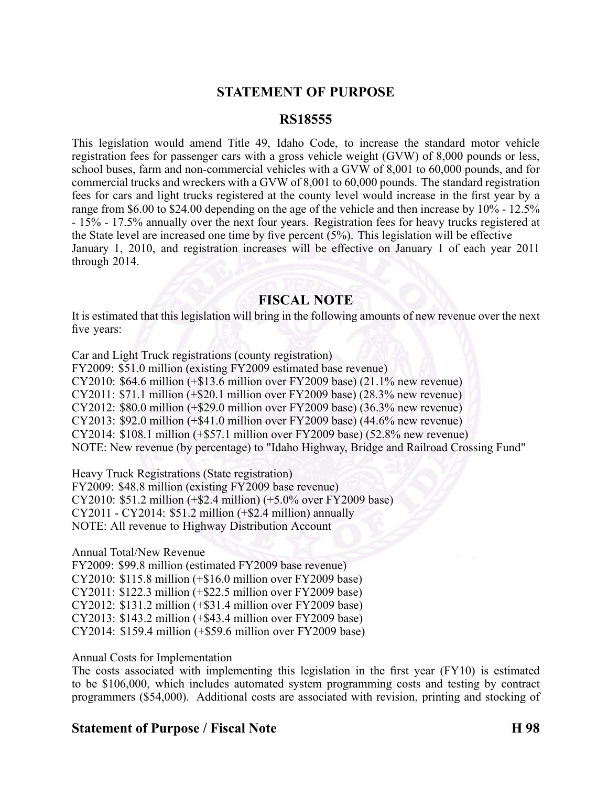## **STATEMENT OF PURPOSE**

#### **RS18555**

This legislation would amend Title 49, Idaho Code, to increase the standard motor vehicle registration fees for passenger cars with <sup>a</sup> gross vehicle weight (GVW) of 8,000 pounds or less, school buses, farm and non-commercial vehicles with a GVW of 8,001 to 60,000 pounds, and for commercial trucks and wreckers with <sup>a</sup> GVW of 8,001 to 60,000 pounds. The standard registration fees for cars and light trucks registered at the county level would increase in the first year by <sup>a</sup> range from \$6.00 to \$24.00 depending on the age of the vehicle and then increase by  $10\%$  - 12.5% 15% 17.5% annually over the next four years. Registration fees for heavy trucks registered at the State level are increased one time by five percen<sup>t</sup> (5%). This legislation will be effective January 1, 2010, and registration increases will be effective on January 1 of each year 2011 through 2014.

#### **FISCAL NOTE**

It is estimated that this legislation will bring in the following amounts of new revenue over the next five years:

Car and Light Truck registrations (county registration) FY2009: \$51.0 million (existing FY2009 estimated base revenue) CY2010: \$64.6 million (+\$13.6 million over FY2009 base) (21.1% new revenue) CY2011: \$71.1 million (+\$20.1 million over FY2009 base) (28.3% new revenue) CY2012: \$80.0 million (+\$29.0 million over FY2009 base) (36.3% new revenue) CY2013: \$92.0 million (+\$41.0 million over FY2009 base) (44.6% new revenue) CY2014: \$108.1 million (+\$57.1 million over FY2009 base) (52.8% new revenue) NOTE: New revenue (by percentage) to "Idaho Highway, Bridge and Railroad Crossing Fund"

Heavy Truck Registrations (State registration) FY2009: \$48.8 million (existing FY2009 base revenue) CY2010: \$51.2 million (+\$2.4 million) (+5.0% over FY2009 base) CY2011 CY2014: \$51.2 million (+\$2.4 million) annually NOTE: All revenue to Highway Distribution Account

Annual Total/New Revenue

FY2009: \$99.8 million (estimated FY2009 base revenue) CY2010: \$115.8 million (+\$16.0 million over FY2009 base) CY2011: \$122.3 million (+\$22.5 million over FY2009 base) CY2012: \$131.2 million (+\$31.4 million over FY2009 base) CY2013: \$143.2 million (+\$43.4 million over FY2009 base) CY2014: \$159.4 million (+\$59.6 million over FY2009 base)

Annual Costs for Implementation

The costs associated with implementing this legislation in the first year (FY10) is estimated to be \$106,000, which includes automated system programming costs and testing by contract programmers (\$54,000). Additional costs are associated with revision, printing and stocking of

### **Statement of Purpose / Fiscal Note H 98**